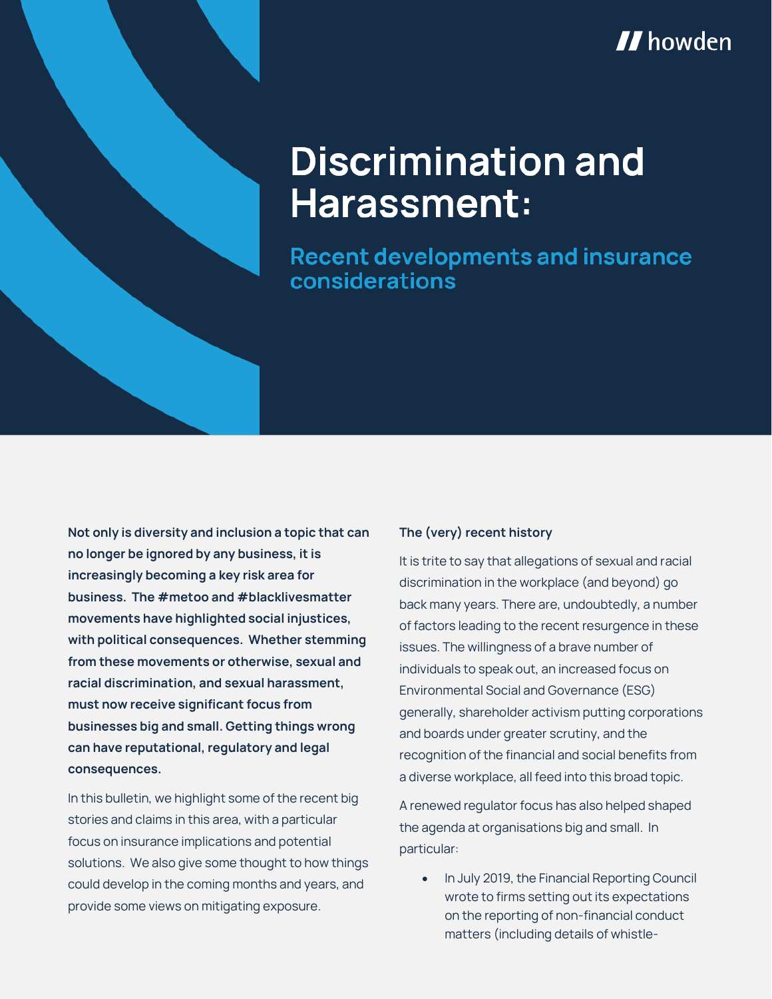

# **Discrimination and** Harassment:

**Recent developments and insurance** considerations

**Not only is diversity and inclusion a topic that can no longer be ignored by any business, it is increasingly becoming a key risk area for business. The #metoo and #blacklivesmatter movements have highlighted social injustices, with political consequences. Whether stemming from these movements or otherwise, sexual and racial discrimination, and sexual harassment, must now receive significant focus from businesses big and small. Getting things wrong can have reputational, regulatory and legal consequences.**

In this bulletin, we highlight some of the recent big stories and claims in this area, with a particular focus on insurance implications and potential solutions. We also give some thought to how things could develop in the coming months and years, and provide some views on mitigating exposure.

# **The (very) recent history**

It is trite to say that allegations of sexual and racial discrimination in the workplace (and beyond) go back many years. There are, undoubtedly, a number of factors leading to the recent resurgence in these issues. The willingness of a brave number of individuals to speak out, an increased focus on Environmental Social and Governance (ESG) generally, shareholder activism putting corporations and boards under greater scrutiny, and the recognition of the financial and social benefits from a diverse workplace, all feed into this broad topic.

A renewed regulator focus has also helped shaped the agenda at organisations big and small. In particular:

 In July 2019, the Financial Reporting Council wrote to firms setting out its expectations on the reporting of non-financial conduct matters (including details of whistle-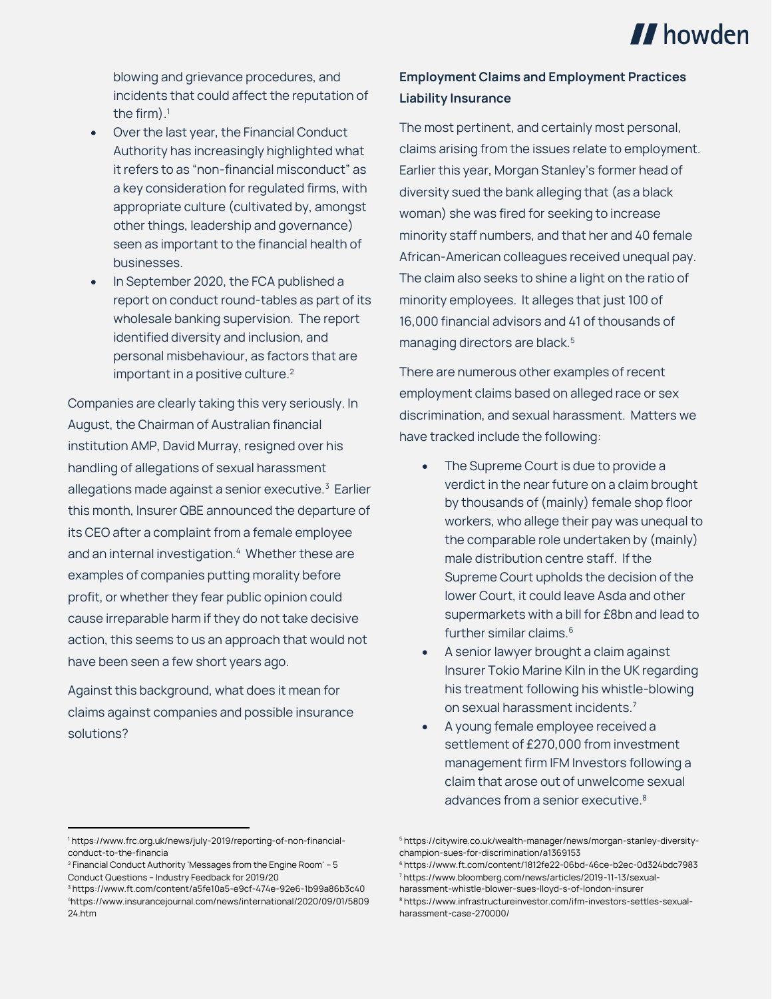

blowing and grievance procedures, and incidents that could affect the reputation of the firm). $^1$ 

- Over the last year, the Financial Conduct Authority has increasingly highlighted what it refers to as "non-financial misconduct" as a key consideration for regulated firms, with appropriate culture (cultivated by, amongst other things, leadership and governance) seen as important to the financial health of businesses.
- In September 2020, the FCA published a report on conduct round-tables as part of its wholesale banking supervision. The report identified diversity and inclusion, and personal misbehaviour, as factors that are important in a positive culture.<sup>2</sup>

Companies are clearly taking this very seriously. In August, the Chairman of Australian financial institution AMP, David Murray, resigned over his handling of allegations of sexual harassment allegations made against a senior executive.<sup>3</sup> Earlier this month, Insurer QBE announced the departure of its CEO after a complaint from a female employee and an internal investigation.<sup>4</sup> Whether these are examples of companies putting morality before profit, or whether they fear public opinion could cause irreparable harm if they do not take decisive action, this seems to us an approach that would not have been seen a few short years ago.

Against this background, what does it mean for claims against companies and possible insurance solutions?

# **Employment Claims and Employment Practices Liability Insurance**

The most pertinent, and certainly most personal, claims arising from the issues relate to employment. Earlier this year, Morgan Stanley's former head of diversity sued the bank alleging that (as a black woman) she was fired for seeking to increase minority staff numbers, and that her and 40 female African-American colleagues received unequal pay. The claim also seeks to shine a light on the ratio of minority employees. It alleges that just 100 of 16,000 financial advisors and 41 of thousands of managing directors are black.<sup>5</sup>

There are numerous other examples of recent employment claims based on alleged race or sex discrimination, and sexual harassment. Matters we have tracked include the following:

- The Supreme Court is due to provide a verdict in the near future on a claim brought by thousands of (mainly) female shop floor workers, who allege their pay was unequal to the comparable role undertaken by (mainly) male distribution centre staff. If the Supreme Court upholds the decision of the lower Court, it could leave Asda and other supermarkets with a bill for £8bn and lead to further similar claims.<sup>6</sup>
- A senior lawyer brought a claim against Insurer Tokio Marine Kiln in the UK regarding his treatment following his whistle-blowing on sexual harassment incidents.<sup>7</sup>
- A young female employee received a settlement of £270,000 from investment management firm IFM Investors following a claim that arose out of unwelcome sexual advances from a senior executive.<sup>8</sup>

 $\overline{a}$ 

<sup>1</sup> https://www.frc.org.uk/news/july-2019/reporting-of-non-financialconduct-to-the-financia

<sup>2</sup> Financial Conduct Authority 'Messages from the Engine Room' – 5 Conduct Questions – Industry Feedback for 2019/20

<sup>3</sup> https://www.ft.com/content/a5fe10a5-e9cf-474e-92e6-1b99a86b3c40 <sup>4</sup>https://www.insurancejournal.com/news/international/2020/09/01/5809 24.htm

<sup>5</sup> https://citywire.co.uk/wealth-manager/news/morgan-stanley-diversitychampion-sues-for-discrimination/a1369153

<sup>6</sup> https://www.ft.com/content/1812fe22-06bd-46ce-b2ec-0d324bdc7983 <sup>7</sup> https://www.bloomberg.com/news/articles/2019-11-13/sexualharassment-whistle-blower-sues-lloyd-s-of-london-insurer

<sup>8</sup> https://www.infrastructureinvestor.com/ifm-investors-settles-sexualharassment-case-270000/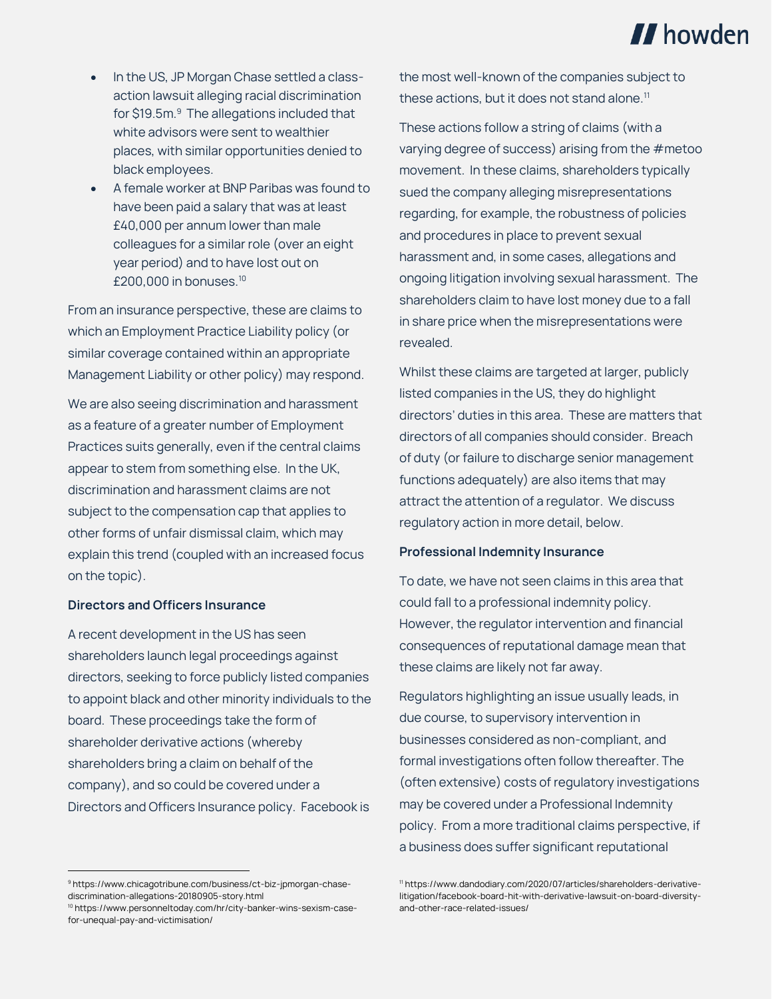

- In the US, JP Morgan Chase settled a classaction lawsuit alleging racial discrimination for \$19.5m.<sup>9</sup> The allegations included that white advisors were sent to wealthier places, with similar opportunities denied to black employees.
- A female worker at BNP Paribas was found to have been paid a salary that was at least £40,000 per annum lower than male colleagues for a similar role (over an eight year period) and to have lost out on  $£200.000$  in bonuses.<sup>10</sup>

From an insurance perspective, these are claims to which an Employment Practice Liability policy (or similar coverage contained within an appropriate Management Liability or other policy) may respond.

We are also seeing discrimination and harassment as a feature of a greater number of Employment Practices suits generally, even if the central claims appear to stem from something else. In the UK, discrimination and harassment claims are not subject to the compensation cap that applies to other forms of unfair dismissal claim, which may explain this trend (coupled with an increased focus on the topic).

### **Directors and Officers Insurance**

A recent development in the US has seen shareholders launch legal proceedings against directors, seeking to force publicly listed companies to appoint black and other minority individuals to the board. These proceedings take the form of shareholder derivative actions (whereby shareholders bring a claim on behalf of the company), and so could be covered under a Directors and Officers Insurance policy. Facebook is

 $\overline{a}$ 

the most well-known of the companies subject to these actions, but it does not stand alone.<sup>11</sup>

These actions follow a string of claims (with a varying degree of success) arising from the #metoo movement. In these claims, shareholders typically sued the company alleging misrepresentations regarding, for example, the robustness of policies and procedures in place to prevent sexual harassment and, in some cases, allegations and ongoing litigation involving sexual harassment. The shareholders claim to have lost money due to a fall in share price when the misrepresentations were revealed.

Whilst these claims are targeted at larger, publicly listed companies in the US, they do highlight directors' duties in this area. These are matters that directors of all companies should consider. Breach of duty (or failure to discharge senior management functions adequately) are also items that may attract the attention of a regulator. We discuss regulatory action in more detail, below.

#### **Professional Indemnity Insurance**

To date, we have not seen claims in this area that could fall to a professional indemnity policy. However, the regulator intervention and financial consequences of reputational damage mean that these claims are likely not far away.

Regulators highlighting an issue usually leads, in due course, to supervisory intervention in businesses considered as non-compliant, and formal investigations often follow thereafter. The (often extensive) costs of regulatory investigations may be covered under a Professional Indemnity policy. From a more traditional claims perspective, if a business does suffer significant reputational

<sup>9</sup> https://www.chicagotribune.com/business/ct-biz-jpmorgan-chasediscrimination-allegations-20180905-story.html

<sup>10</sup> https://www.personneltoday.com/hr/city-banker-wins-sexism-casefor-unequal-pay-and-victimisation/

<sup>11</sup> https://www.dandodiary.com/2020/07/articles/shareholders-derivativelitigation/facebook-board-hit-with-derivative-lawsuit-on-board-diversityand-other-race-related-issues/